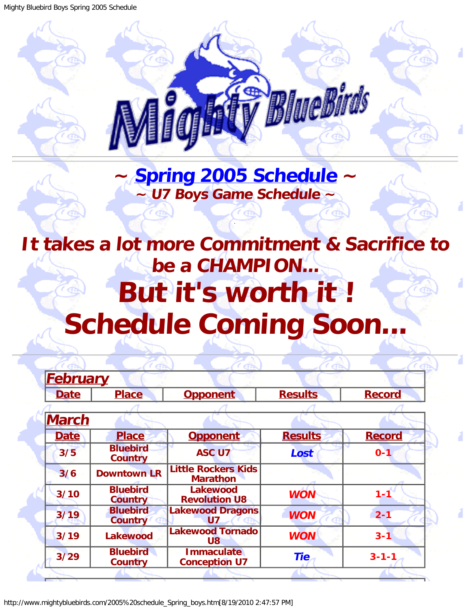<span id="page-0-0"></span>Mighty Bluebird Boys Spring 2005 Schedule



## **~ [Spring 2005 Schedule](#page-0-0) ~ ~ U7 Boys Game Schedule ~**

.

## <span id="page-0-1"></span>**It takes a lot more Commitment & Sacrifice to be a CHAMPION... But it's worth it ! Schedule Coming Soon...**

| <b>February</b> |                                   |                                               |                |               |  |
|-----------------|-----------------------------------|-----------------------------------------------|----------------|---------------|--|
| <b>Date</b>     | <b>Place</b>                      | <b>Opponent</b>                               | <b>Results</b> | <b>Record</b> |  |
|                 |                                   |                                               |                |               |  |
| <b>March</b>    |                                   |                                               |                |               |  |
| <b>Date</b>     | <b>Place</b>                      | <b>Opponent</b>                               | <b>Results</b> | <b>Record</b> |  |
| 3/5             | <b>Bluebird</b><br><b>Country</b> | <b>ASC U7</b>                                 | Lost           | $0 - 1$       |  |
| 3/6             | <b>Downtown LR</b>                | <b>Little Rockers Kids</b><br><b>Marathon</b> |                |               |  |
| 3/10            | <b>Bluebird</b><br><b>Country</b> | <b>Lakewood</b><br><b>Revolution U8</b>       | <b>WON</b>     | $1 - 1$       |  |
| 3/19            | <b>Bluebird</b><br><b>Country</b> | <b>Lakewood Dragons</b><br><b>U7</b>          | <b>WON</b>     | $2 - 1$       |  |
| 3/19            | <b>Lakewood</b>                   | <b>Lakewood Tornado</b><br><b>U8</b>          | <b>WON</b>     | $3 - 1$       |  |
| $3/29$          | <b>Bluebird</b><br><b>Country</b> | <b>Immaculate</b><br><b>Conception U7</b>     | <b>Tie</b>     | $3 - 1 - 1$   |  |
|                 |                                   |                                               |                |               |  |

http://www.mightybluebirds.com/2005%20schedule\_Spring\_boys.htm[8/19/2010 2:47:57 PM]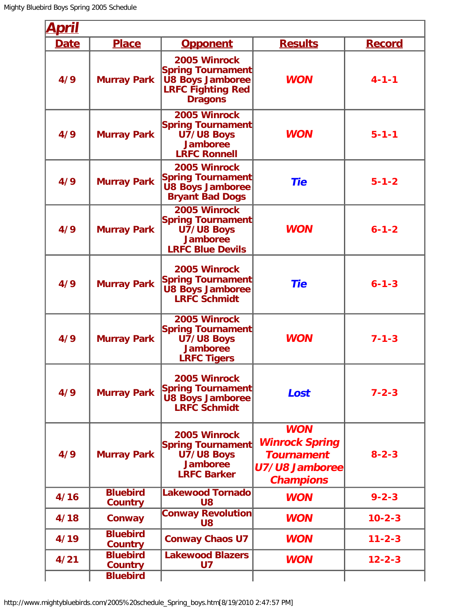| <u>April</u> |                                   |                                                                                                            |                                                                                                |               |
|--------------|-----------------------------------|------------------------------------------------------------------------------------------------------------|------------------------------------------------------------------------------------------------|---------------|
| <b>Date</b>  | <b>Place</b>                      | <b>Opponent</b>                                                                                            | <b>Results</b>                                                                                 | <b>Record</b> |
| 4/9          | <b>Murray Park</b>                | 2005 Winrock<br>Spring Tournament<br><b>U8 Boys Jamboree</b><br><b>LRFC Fighting Red</b><br><b>Dragons</b> | <b>WON</b>                                                                                     | $4 - 1 - 1$   |
| 4/9          | <b>Murray Park</b>                | 2005 Winrock<br><b>Spring Tournament</b><br>U7/U8 Boys<br><b>Jamboree</b><br><b>LRFC Ronnell</b>           | <b>WON</b>                                                                                     | $5 - 1 - 1$   |
| 4/9          | <b>Murray Park</b>                | 2005 Winrock<br>Spring Tournament<br>U8 Boys Jamboree<br><b>Bryant Bad Dogs</b>                            | <b>Tie</b>                                                                                     | $5 - 1 - 2$   |
| 4/9          | <b>Murray Park</b>                | 2005 Winrock<br>Spring Tournament<br>U7/U8 Boys<br>Jamboree<br><b>LRFC Blue Devils</b>                     | <b>WON</b>                                                                                     | $6 - 1 - 2$   |
| 4/9          | <b>Murray Park</b>                | 2005 Winrock<br><b>Spring Tournament</b><br><b>U8 Boys Jamboree</b><br><b>LRFC Schmidt</b>                 | <b>Tie</b>                                                                                     | $6 - 1 - 3$   |
| 4/9          | <b>Murray Park</b>                | 2005 Winrock<br>Spring Tournament<br>U7/U8 Boys<br><b>Jamboree</b><br><b>LRFC Tigers</b>                   | <b>WON</b>                                                                                     | $7 - 1 - 3$   |
| 4/9          | <b>Murray Park</b>                | 2005 Winrock<br>Spring Tournament<br><b>U8 Boys Jamboree</b><br><b>LRFC Schmidt</b>                        | Lost                                                                                           | $7 - 2 - 3$   |
| 4/9          | <b>Murray Park</b>                | 2005 Winrock<br><b>Spring Tournament</b><br>U7/U8 Boys<br>Jamboree<br><b>LRFC Barker</b>                   | <b>WON</b><br><b>Winrock Spring</b><br><b>Tournament</b><br>U7/U8 Jamboree<br><b>Champions</b> | $8 - 2 - 3$   |
| 4/16         | <b>Bluebird</b><br><b>Country</b> | <b>Lakewood Tornado</b><br>U8                                                                              | <b>WON</b>                                                                                     | $9 - 2 - 3$   |
| 4/18         | Conway                            | <b>Conway Revolution</b><br>U8                                                                             | <b>WON</b>                                                                                     | $10 - 2 - 3$  |
| 4/19         | <b>Bluebird</b><br><b>Country</b> | <b>Conway Chaos U7</b>                                                                                     | <b>WON</b>                                                                                     | $11 - 2 - 3$  |
| 4/21         | <b>Bluebird</b><br><b>Country</b> | <b>Lakewood Blazers</b><br><b>U7</b>                                                                       | <b>WON</b>                                                                                     | $12 - 2 - 3$  |
|              | <b>Bluebird</b>                   |                                                                                                            |                                                                                                |               |